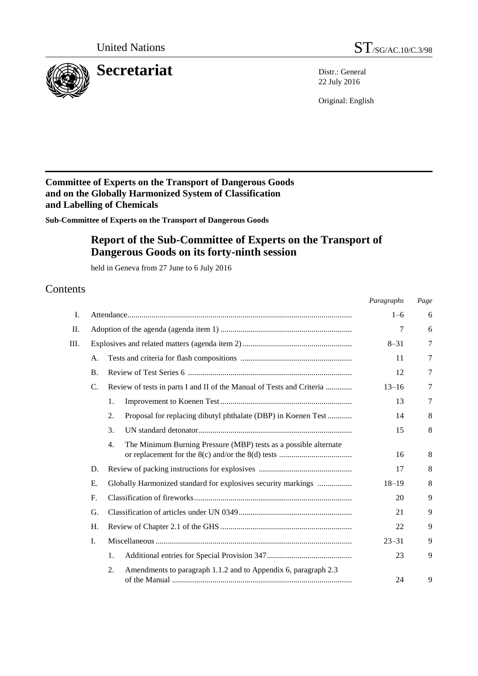



22 July 2016

Original: English

# **Committee of Experts on the Transport of Dangerous Goods and on the Globally Harmonized System of Classification and Labelling of Chemicals**

**Sub-Committee of Experts on the Transport of Dangerous Goods** 

# **Report of the Sub-Committee of Experts on the Transport of Dangerous Goods on its forty-ninth session**

held in Geneva from 27 June to 6 July 2016

# Contents

|    |             |                                                                                      | Paragraphs | Page |
|----|-------------|--------------------------------------------------------------------------------------|------------|------|
| Ι. |             |                                                                                      | $1 - 6$    | 6    |
| П. |             |                                                                                      | 7          | 6    |
| Ш. |             |                                                                                      | $8 - 31$   | 7    |
|    | A.          |                                                                                      | 11         | 7    |
|    | <b>B.</b>   |                                                                                      | 12         | 7    |
|    | C.          | Review of tests in parts I and II of the Manual of Tests and Criteria                | $13 - 16$  | 7    |
|    |             | 1.                                                                                   | 13         | 7    |
|    |             | 2.<br>Proposal for replacing dibutyl phthalate (DBP) in Koenen Test                  | 14         | 8    |
|    |             | 3.                                                                                   | 15         | 8    |
|    |             | The Minimum Burning Pressure (MBP) tests as a possible alternate<br>$\overline{4}$ . | 16         | 8    |
|    | D.          |                                                                                      | 17         | 8    |
|    | Ε.          | Globally Harmonized standard for explosives security markings                        | $18 - 19$  | 8    |
|    | $F_{\cdot}$ |                                                                                      | 20         | 9    |
|    | G.          |                                                                                      |            | 9    |
|    | H.          |                                                                                      | 22         | 9    |
|    | I.          |                                                                                      | $23 - 31$  | 9    |
|    |             | 1.                                                                                   | 23         | 9    |
|    |             | 2.<br>Amendments to paragraph 1.1.2 and to Appendix 6, paragraph 2.3                 | 24         | 9    |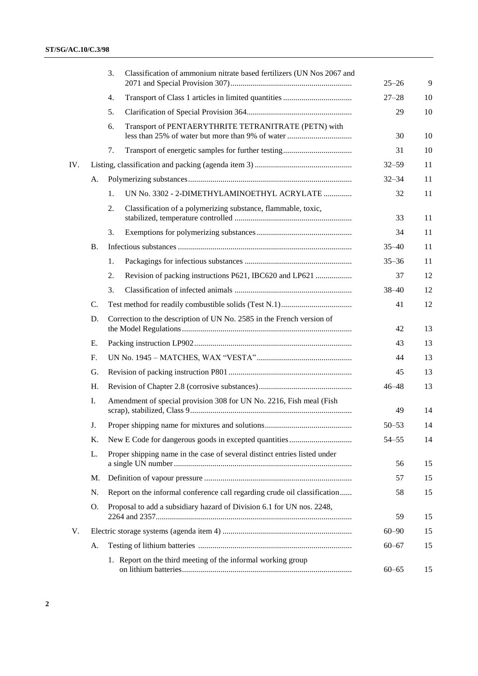|     |           | Classification of ammonium nitrate based fertilizers (UN Nos 2067 and<br>3. | $25 - 26$ | 9  |
|-----|-----------|-----------------------------------------------------------------------------|-----------|----|
|     |           | 4.                                                                          | $27 - 28$ | 10 |
|     |           | 5.                                                                          | 29        | 10 |
|     |           | Transport of PENTAERYTHRITE TETRANITRATE (PETN) with<br>6.                  | 30        | 10 |
|     |           | 7.                                                                          | 31        | 10 |
| IV. |           |                                                                             | $32 - 59$ | 11 |
|     | A.        |                                                                             | $32 - 34$ | 11 |
|     |           | UN No. 3302 - 2-DIMETHYLAMINOETHYL ACRYLATE<br>1.                           | 32        | 11 |
|     |           | Classification of a polymerizing substance, flammable, toxic,<br>2.         | 33        | 11 |
|     |           | 3.                                                                          | 34        | 11 |
|     | <b>B.</b> |                                                                             | $35 - 40$ | 11 |
|     |           | 1.                                                                          | $35 - 36$ | 11 |
|     |           | Revision of packing instructions P621, IBC620 and LP621<br>2.               | 37        | 12 |
|     |           | 3.                                                                          | $38 - 40$ | 12 |
|     | C.        |                                                                             | 41        | 12 |
|     | D.        | Correction to the description of UN No. 2585 in the French version of       | 42        | 13 |
|     | E.        |                                                                             | 43        | 13 |
|     | F.        |                                                                             | 44        | 13 |
|     | G.        |                                                                             | 45        | 13 |
|     | H.        |                                                                             | $46 - 48$ | 13 |
|     | Ι.        | Amendment of special provision 308 for UN No. 2216, Fish meal (Fish         | 49        | 14 |
|     | J.        |                                                                             | $50 - 53$ | 14 |
|     | Κ.        |                                                                             | $54 - 55$ | 14 |
|     | L.        | Proper shipping name in the case of several distinct entries listed under   | 56        | 15 |
|     | M.        |                                                                             | 57        | 15 |
|     | N.        | Report on the informal conference call regarding crude oil classification   | 58        | 15 |
|     | O.        | Proposal to add a subsidiary hazard of Division 6.1 for UN nos. 2248,       | 59        | 15 |
| V.  |           |                                                                             | $60 - 90$ | 15 |
|     | А.        |                                                                             | $60 - 67$ | 15 |
|     |           | 1. Report on the third meeting of the informal working group                | $60 - 65$ | 15 |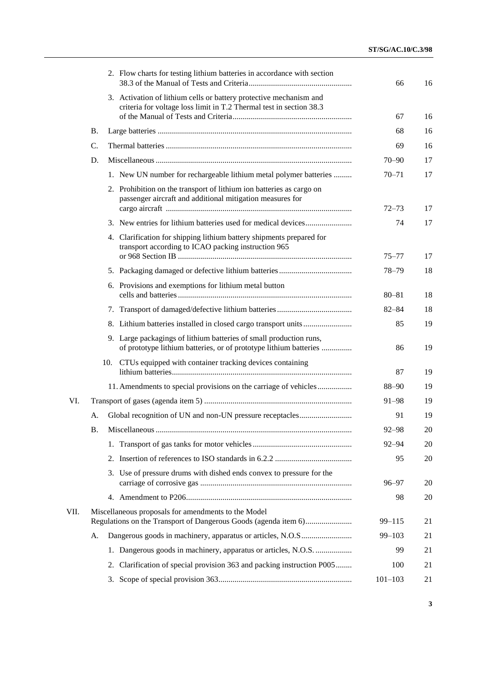|      |    | 2. Flow charts for testing lithium batteries in accordance with section                                                                   | 66          | 16 |
|------|----|-------------------------------------------------------------------------------------------------------------------------------------------|-------------|----|
|      |    | 3. Activation of lithium cells or battery protective mechanism and<br>criteria for voltage loss limit in T.2 Thermal test in section 38.3 |             |    |
|      |    |                                                                                                                                           | 67          | 16 |
|      | Β. |                                                                                                                                           | 68          | 16 |
|      | C. |                                                                                                                                           | 69          | 16 |
|      | D. |                                                                                                                                           | $70 - 90$   | 17 |
|      |    | 1. New UN number for rechargeable lithium metal polymer batteries                                                                         | $70 - 71$   | 17 |
|      |    | 2. Prohibition on the transport of lithium ion batteries as cargo on<br>passenger aircraft and additional mitigation measures for         | $72 - 73$   | 17 |
|      |    |                                                                                                                                           | 74          | 17 |
|      |    |                                                                                                                                           |             |    |
|      |    | 4. Clarification for shipping lithium battery shipments prepared for<br>transport according to ICAO packing instruction 965               | 75–77       | 17 |
|      |    |                                                                                                                                           | $78 - 79$   | 18 |
|      |    | 6. Provisions and exemptions for lithium metal button                                                                                     | $80 - 81$   | 18 |
|      |    |                                                                                                                                           | $82 - 84$   | 18 |
|      |    |                                                                                                                                           | 85          | 19 |
|      |    | 9. Large packagings of lithium batteries of small production runs,<br>of prototype lithium batteries, or of prototype lithium batteries   | 86          | 19 |
|      |    | CTUs equipped with container tracking devices containing<br>10.                                                                           | 87          | 19 |
|      |    | 11. Amendments to special provisions on the carriage of vehicles                                                                          | $88 - 90$   | 19 |
| VI.  |    |                                                                                                                                           | $91 - 98$   | 19 |
|      | А. |                                                                                                                                           | 91          | 19 |
|      | Β. |                                                                                                                                           | $92 - 98$   | 20 |
|      |    |                                                                                                                                           | $92 - 94$   | 20 |
|      |    |                                                                                                                                           | 95          | 20 |
|      |    | 3. Use of pressure drums with dished ends convex to pressure for the                                                                      | $96 - 97$   | 20 |
|      |    |                                                                                                                                           | 98          | 20 |
| VII. |    | Miscellaneous proposals for amendments to the Model                                                                                       | $99 - 115$  | 21 |
|      | А. |                                                                                                                                           | $99 - 103$  | 21 |
|      |    | 1. Dangerous goods in machinery, apparatus or articles, N.O.S.                                                                            | 99          | 21 |
|      |    | Clarification of special provision 363 and packing instruction P005<br>2.                                                                 | 100         | 21 |
|      |    | 3.                                                                                                                                        | $101 - 103$ | 21 |
|      |    |                                                                                                                                           |             |    |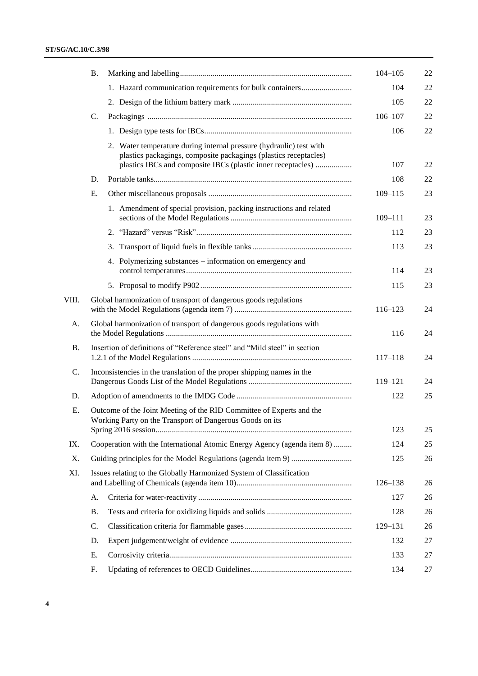### **ST/SG/AC.10/C.3/98**

|           | <b>B.</b>                                                                                                                               |                                                                                                                                                                                                         | $104 - 105$ | 22 |
|-----------|-----------------------------------------------------------------------------------------------------------------------------------------|---------------------------------------------------------------------------------------------------------------------------------------------------------------------------------------------------------|-------------|----|
|           |                                                                                                                                         | 1. Hazard communication requirements for bulk containers                                                                                                                                                | 104         | 22 |
|           |                                                                                                                                         |                                                                                                                                                                                                         | 105         | 22 |
|           | C.                                                                                                                                      |                                                                                                                                                                                                         | $106 - 107$ | 22 |
|           |                                                                                                                                         |                                                                                                                                                                                                         | 106         | 22 |
|           |                                                                                                                                         | 2. Water temperature during internal pressure (hydraulic) test with<br>plastics packagings, composite packagings (plastics receptacles)<br>plastics IBCs and composite IBCs (plastic inner receptacles) | 107         | 22 |
|           | D.                                                                                                                                      |                                                                                                                                                                                                         | 108         | 22 |
|           | Ε.                                                                                                                                      |                                                                                                                                                                                                         | $109 - 115$ | 23 |
|           |                                                                                                                                         | 1. Amendment of special provision, packing instructions and related                                                                                                                                     | $109 - 111$ | 23 |
|           |                                                                                                                                         |                                                                                                                                                                                                         | 112         | 23 |
|           |                                                                                                                                         | 3.                                                                                                                                                                                                      | 113         | 23 |
|           |                                                                                                                                         | 4. Polymerizing substances – information on emergency and                                                                                                                                               | 114         | 23 |
|           |                                                                                                                                         |                                                                                                                                                                                                         | 115         | 23 |
| VIII.     |                                                                                                                                         | Global harmonization of transport of dangerous goods regulations                                                                                                                                        | 116-123     | 24 |
| A.        |                                                                                                                                         | Global harmonization of transport of dangerous goods regulations with                                                                                                                                   | 116         | 24 |
| <b>B.</b> |                                                                                                                                         | Insertion of definitions of "Reference steel" and "Mild steel" in section                                                                                                                               | $117 - 118$ | 24 |
| C.        |                                                                                                                                         | Inconsistencies in the translation of the proper shipping names in the                                                                                                                                  | 119–121     | 24 |
| D.        |                                                                                                                                         |                                                                                                                                                                                                         | 122         | 25 |
| Е.        | Outcome of the Joint Meeting of the RID Committee of Experts and the<br>Working Party on the Transport of Dangerous Goods on its<br>123 |                                                                                                                                                                                                         |             | 25 |
| IX.       |                                                                                                                                         | Cooperation with the International Atomic Energy Agency (agenda item 8)                                                                                                                                 | 124         | 25 |
| X.        |                                                                                                                                         |                                                                                                                                                                                                         | 125         | 26 |
| XI.       |                                                                                                                                         | Issues relating to the Globally Harmonized System of Classification                                                                                                                                     |             |    |
|           |                                                                                                                                         |                                                                                                                                                                                                         | 126-138     | 26 |
|           | A.                                                                                                                                      |                                                                                                                                                                                                         | 127         | 26 |
|           | Β.                                                                                                                                      |                                                                                                                                                                                                         | 128         | 26 |
|           | C.                                                                                                                                      |                                                                                                                                                                                                         | 129-131     | 26 |
|           | D.                                                                                                                                      |                                                                                                                                                                                                         | 132         | 27 |
|           | Ε.                                                                                                                                      |                                                                                                                                                                                                         | 133         | 27 |
|           | F.                                                                                                                                      |                                                                                                                                                                                                         | 134         | 27 |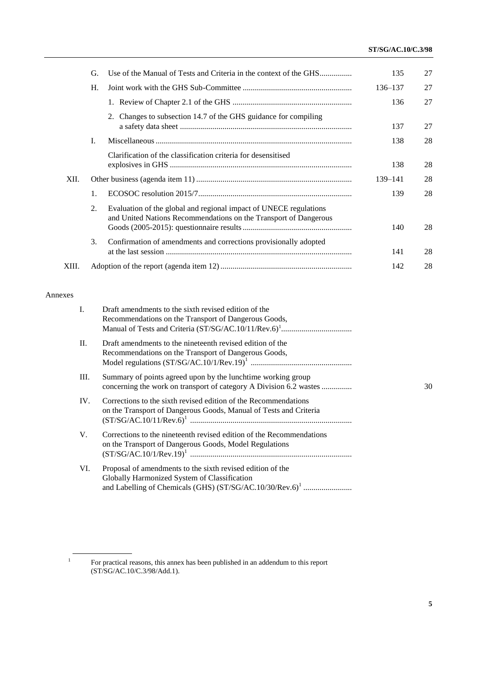### **ST/SG/AC.10/C.3/98**

|       | G.             | Use of the Manual of Tests and Criteria in the context of the GHS                                                                     | 135     | 27 |
|-------|----------------|---------------------------------------------------------------------------------------------------------------------------------------|---------|----|
|       | Н.             |                                                                                                                                       | 136-137 | 27 |
|       |                |                                                                                                                                       | 136     | 27 |
|       |                | 2. Changes to subsection 14.7 of the GHS guidance for compiling                                                                       | 137     | 27 |
|       | I.             |                                                                                                                                       | 138     | 28 |
|       |                | Clarification of the classification criteria for desensitised                                                                         | 138     | 28 |
| XII.  |                |                                                                                                                                       | 139–141 | 28 |
|       | $\mathbf{1}$ . |                                                                                                                                       | 139     | 28 |
|       | 2.             | Evaluation of the global and regional impact of UNECE regulations<br>and United Nations Recommendations on the Transport of Dangerous | 140     | 28 |
|       | 3.             | Confirmation of amendments and corrections provisionally adopted                                                                      | 141     | 28 |
| XIII. |                |                                                                                                                                       | 142     | 28 |

### Annexes

| $\mathbf{I}$ . | Draft amendments to the sixth revised edition of the<br>Recommendations on the Transport of Dangerous Goods,                         |    |
|----------------|--------------------------------------------------------------------------------------------------------------------------------------|----|
| II.            | Draft amendments to the nineteenth revised edition of the<br>Recommendations on the Transport of Dangerous Goods,                    |    |
| III.           | Summary of points agreed upon by the lunchtime working group<br>concerning the work on transport of category A Division 6.2 wastes   | 30 |
| IV.            | Corrections to the sixth revised edition of the Recommendations<br>on the Transport of Dangerous Goods, Manual of Tests and Criteria |    |
| $V_{\cdot}$    | Corrections to the nineteenth revised edition of the Recommendations<br>on the Transport of Dangerous Goods, Model Regulations       |    |
| VI.            | Proposal of amendments to the sixth revised edition of the<br>Globally Harmonized System of Classification                           |    |

<sup>1</sup> For practical reasons, this annex has been published in an addendum to this report (ST/SG/AC.10/C.3/98/Add.1).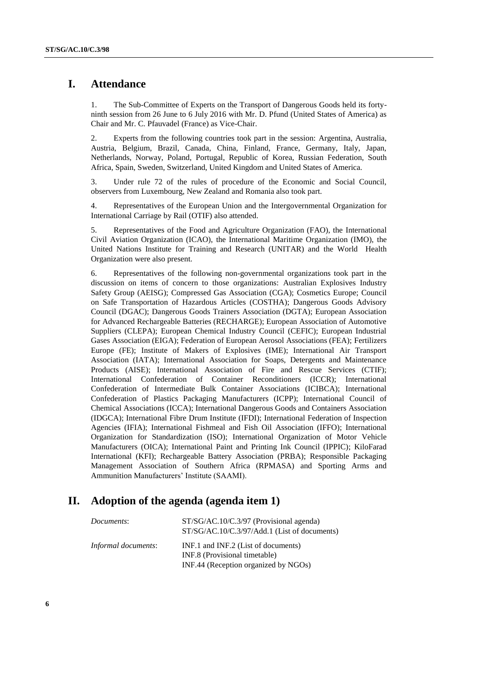# **I. Attendance**

1. The Sub-Committee of Experts on the Transport of Dangerous Goods held its fortyninth session from 26 June to 6 July 2016 with Mr. D. Pfund (United States of America) as Chair and Mr. C. Pfauvadel (France) as Vice-Chair.

2. Experts from the following countries took part in the session: Argentina, Australia, Austria, Belgium, Brazil, Canada, China, Finland, France, Germany, Italy, Japan, Netherlands, Norway, Poland, Portugal, Republic of Korea, Russian Federation, South Africa, Spain, Sweden, Switzerland, United Kingdom and United States of America.

3. Under rule 72 of the rules of procedure of the Economic and Social Council, observers from Luxembourg, New Zealand and Romania also took part.

4. Representatives of the European Union and the Intergovernmental Organization for International Carriage by Rail (OTIF) also attended.

5. Representatives of the Food and Agriculture Organization (FAO), the International Civil Aviation Organization (ICAO), the International Maritime Organization (IMO), the United Nations Institute for Training and Research (UNITAR) and the World Health Organization were also present.

6. Representatives of the following non-governmental organizations took part in the discussion on items of concern to those organizations: Australian Explosives Industry Safety Group (AEISG); Compressed Gas Association (CGA); Cosmetics Europe; Council on Safe Transportation of Hazardous Articles (COSTHA); Dangerous Goods Advisory Council (DGAC); Dangerous Goods Trainers Association (DGTA); European Association for Advanced Rechargeable Batteries (RECHARGE); European Association of Automotive Suppliers (CLEPA); European Chemical Industry Council (CEFIC); European Industrial Gases Association (EIGA); Federation of European Aerosol Associations (FEA); Fertilizers Europe (FE); Institute of Makers of Explosives (IME); International Air Transport Association (IATA); International Association for Soaps, Detergents and Maintenance Products (AISE); International Association of Fire and Rescue Services (CTIF); International Confederation of Container Reconditioners (ICCR); International Confederation of Intermediate Bulk Container Associations (ICIBCA); International Confederation of Plastics Packaging Manufacturers (ICPP); International Council of Chemical Associations (ICCA); International Dangerous Goods and Containers Association (IDGCA); International Fibre Drum Institute (IFDI); International Federation of Inspection Agencies (IFIA); International Fishmeal and Fish Oil Association (IFFO); International Organization for Standardization (ISO); International Organization of Motor Vehicle Manufacturers (OICA); International Paint and Printing Ink Council (IPPIC); KiloFarad International (KFI); Rechargeable Battery Association (PRBA); Responsible Packaging Management Association of Southern Africa (RPMASA) and Sporting Arms and Ammunition Manufacturers' Institute (SAAMI).

### **II. Adoption of the agenda (agenda item 1)**

| Documents:          | $ST/SG/AC.10/C.3/97$ (Provisional agenda)<br>ST/SG/AC.10/C.3/97/Add.1 (List of documents)                    |
|---------------------|--------------------------------------------------------------------------------------------------------------|
| Informal documents: | INF.1 and INF.2 (List of documents)<br>INF.8 (Provisional timetable)<br>INF.44 (Reception organized by NGOs) |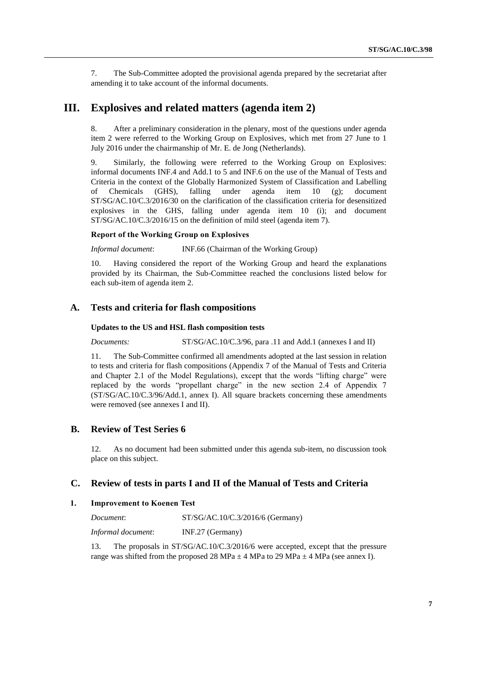7. The Sub-Committee adopted the provisional agenda prepared by the secretariat after amending it to take account of the informal documents.

## **III. Explosives and related matters (agenda item 2)**

8. After a preliminary consideration in the plenary, most of the questions under agenda item 2 were referred to the Working Group on Explosives, which met from 27 June to 1 July 2016 under the chairmanship of Mr. E. de Jong (Netherlands).

9. Similarly, the following were referred to the Working Group on Explosives: informal documents INF.4 and Add.1 to 5 and INF.6 on the use of the Manual of Tests and Criteria in the context of the Globally Harmonized System of Classification and Labelling of Chemicals (GHS), falling under agenda item 10 (g); document ST/SG/AC.10/C.3/2016/30 on the clarification of the classification criteria for desensitized explosives in the GHS, falling under agenda item 10 (i); and document ST/SG/AC.10/C.3/2016/15 on the definition of mild steel (agenda item 7).

#### **Report of the Working Group on Explosives**

*Informal document*: INF.66 (Chairman of the Working Group)

10. Having considered the report of the Working Group and heard the explanations provided by its Chairman, the Sub-Committee reached the conclusions listed below for each sub-item of agenda item 2.

#### **A. Tests and criteria for flash compositions**

#### **Updates to the US and HSL flash composition tests**

*Documents:* ST/SG/AC.10/C.3/96, para .11 and Add.1 (annexes I and II)

11. The Sub-Committee confirmed all amendments adopted at the last session in relation to tests and criteria for flash compositions (Appendix 7 of the Manual of Tests and Criteria and Chapter 2.1 of the Model Regulations), except that the words "lifting charge" were replaced by the words "propellant charge" in the new section 2.4 of Appendix 7 (ST/SG/AC.10/C.3/96/Add.1, annex I). All square brackets concerning these amendments were removed (see annexes I and II).

### **B. Review of Test Series 6**

12. As no document had been submitted under this agenda sub-item, no discussion took place on this subject.

### **C. Review of tests in parts I and II of the Manual of Tests and Criteria**

#### **1. Improvement to Koenen Test**

| Document:          | $ST/SG/AC.10/C.3/2016/6$ (Germany) |
|--------------------|------------------------------------|
| Informal document: | INF.27 (Germany)                   |

13. The proposals in ST/SG/AC.10/C.3/2016/6 were accepted, except that the pressure range was shifted from the proposed 28 MPa  $\pm$  4 MPa to 29 MPa  $\pm$  4 MPa (see annex I).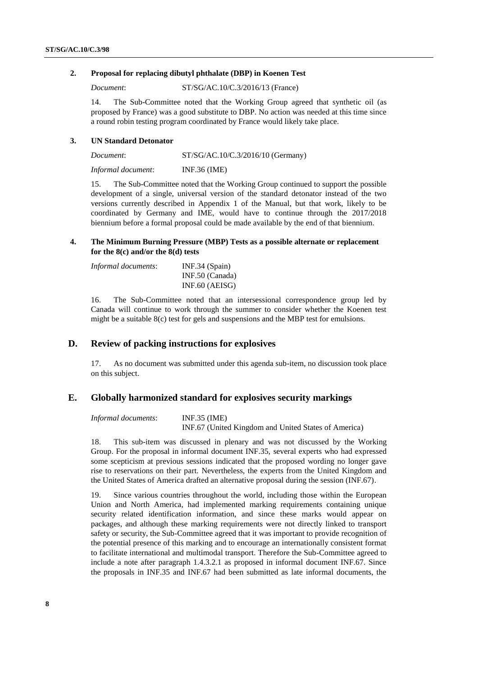#### **2. Proposal for replacing dibutyl phthalate (DBP) in Koenen Test**

*Document*: ST/SG/AC.10/C.3/2016/13 (France)

14. The Sub-Committee noted that the Working Group agreed that synthetic oil (as proposed by France) was a good substitute to DBP. No action was needed at this time since a round robin testing program coordinated by France would likely take place.

#### **3. UN Standard Detonator**

| Document:          | $ST/SG/AC.10/C.3/2016/10$ (Germany) |
|--------------------|-------------------------------------|
| Informal document: | INF.36 (IME)                        |

15. The Sub-Committee noted that the Working Group continued to support the possible development of a single, universal version of the standard detonator instead of the two versions currently described in Appendix 1 of the Manual, but that work, likely to be coordinated by Germany and IME, would have to continue through the 2017/2018 biennium before a formal proposal could be made available by the end of that biennium.

#### **4. The Minimum Burning Pressure (MBP) Tests as a possible alternate or replacement for the 8(c) and/or the 8(d) tests**

| <i>Informal documents:</i> | $INF.34$ (Spain) |
|----------------------------|------------------|
|                            | INF.50 (Canada)  |
|                            | $INF.60$ (AEISG) |

16. The Sub-Committee noted that an intersessional correspondence group led by Canada will continue to work through the summer to consider whether the Koenen test might be a suitable 8(c) test for gels and suspensions and the MBP test for emulsions.

### **D. Review of packing instructions for explosives**

17. As no document was submitted under this agenda sub-item, no discussion took place on this subject.

### **E. Globally harmonized standard for explosives security markings**

*Informal documents*: INF.35 (IME) INF.67 (United Kingdom and United States of America)

18. This sub-item was discussed in plenary and was not discussed by the Working Group. For the proposal in informal document INF.35, several experts who had expressed some scepticism at previous sessions indicated that the proposed wording no longer gave rise to reservations on their part. Nevertheless, the experts from the United Kingdom and the United States of America drafted an alternative proposal during the session (INF.67).

19. Since various countries throughout the world, including those within the European Union and North America, had implemented marking requirements containing unique security related identification information, and since these marks would appear on packages, and although these marking requirements were not directly linked to transport safety or security, the Sub-Committee agreed that it was important to provide recognition of the potential presence of this marking and to encourage an internationally consistent format to facilitate international and multimodal transport. Therefore the Sub-Committee agreed to include a note after paragraph 1.4.3.2.1 as proposed in informal document INF.67. Since the proposals in INF.35 and INF.67 had been submitted as late informal documents, the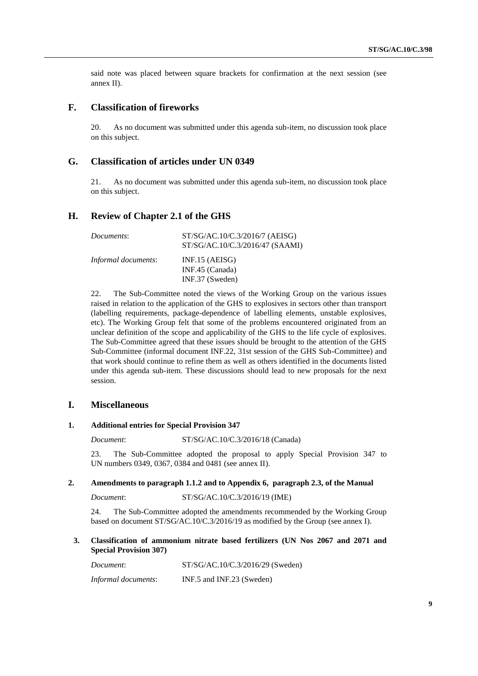said note was placed between square brackets for confirmation at the next session (see annex II).

### **F. Classification of fireworks**

20. As no document was submitted under this agenda sub-item, no discussion took place on this subject.

### **G. Classification of articles under UN 0349**

21. As no document was submitted under this agenda sub-item, no discussion took place on this subject.

### **H. Review of Chapter 2.1 of the GHS**

| Documents:                 | ST/SG/AC.10/C.3/2016/7 (AEISG)<br>ST/SG/AC.10/C.3/2016/47 (SAAMI) |
|----------------------------|-------------------------------------------------------------------|
| <i>Informal documents:</i> | $INF.15$ (AEISG)<br>INF.45 $(Canada)$                             |
|                            | $INF.37$ (Sweden)                                                 |

22. The Sub-Committee noted the views of the Working Group on the various issues raised in relation to the application of the GHS to explosives in sectors other than transport (labelling requirements, package-dependence of labelling elements, unstable explosives, etc). The Working Group felt that some of the problems encountered originated from an unclear definition of the scope and applicability of the GHS to the life cycle of explosives. The Sub-Committee agreed that these issues should be brought to the attention of the GHS Sub-Committee (informal document INF.22, 31st session of the GHS Sub-Committee) and that work should continue to refine them as well as others identified in the documents listed under this agenda sub-item. These discussions should lead to new proposals for the next session.

#### **I. Miscellaneous**

#### **1. Additional entries for Special Provision 347**

*Document*: ST/SG/AC.10/C.3/2016/18 (Canada)

23. The Sub-Committee adopted the proposal to apply Special Provision 347 to UN numbers 0349, 0367, 0384 and 0481 (see annex II).

#### **2. Amendments to paragraph 1.1.2 and to Appendix 6, paragraph 2.3, of the Manual**

*Document*: ST/SG/AC.10/C.3/2016/19 (IME)

24. The Sub-Committee adopted the amendments recommended by the Working Group based on document ST/SG/AC.10/C.3/2016/19 as modified by the Group (see annex I).

#### **3. Classification of ammonium nitrate based fertilizers (UN Nos 2067 and 2071 and Special Provision 307)**

*Document*: ST/SG/AC.10/C.3/2016/29 (Sweden) *Informal documents*: INF.5 and INF.23 (Sweden)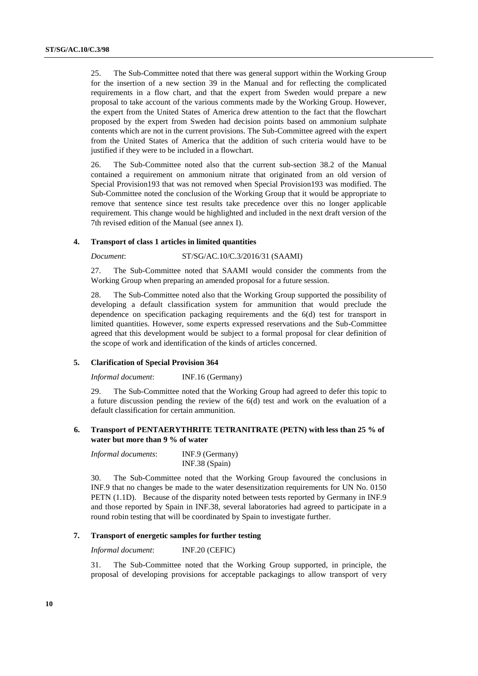25. The Sub-Committee noted that there was general support within the Working Group for the insertion of a new section 39 in the Manual and for reflecting the complicated requirements in a flow chart, and that the expert from Sweden would prepare a new proposal to take account of the various comments made by the Working Group. However, the expert from the United States of America drew attention to the fact that the flowchart proposed by the expert from Sweden had decision points based on ammonium sulphate contents which are not in the current provisions. The Sub-Committee agreed with the expert from the United States of America that the addition of such criteria would have to be justified if they were to be included in a flowchart.

26. The Sub-Committee noted also that the current sub-section 38.2 of the Manual contained a requirement on ammonium nitrate that originated from an old version of Special Provision193 that was not removed when Special Provision193 was modified. The Sub-Committee noted the conclusion of the Working Group that it would be appropriate to remove that sentence since test results take precedence over this no longer applicable requirement. This change would be highlighted and included in the next draft version of the 7th revised edition of the Manual (see annex I).

#### **4. Transport of class 1 articles in limited quantities**

#### *Document*: ST/SG/AC.10/C.3/2016/31 (SAAMI)

27. The Sub-Committee noted that SAAMI would consider the comments from the Working Group when preparing an amended proposal for a future session.

28. The Sub-Committee noted also that the Working Group supported the possibility of developing a default classification system for ammunition that would preclude the dependence on specification packaging requirements and the 6(d) test for transport in limited quantities. However, some experts expressed reservations and the Sub-Committee agreed that this development would be subject to a formal proposal for clear definition of the scope of work and identification of the kinds of articles concerned.

#### **5. Clarification of Special Provision 364**

*Informal document*: INF.16 (Germany)

29. The Sub-Committee noted that the Working Group had agreed to defer this topic to a future discussion pending the review of the 6(d) test and work on the evaluation of a default classification for certain ammunition.

#### **6. Transport of PENTAERYTHRITE TETRANITRATE (PETN) with less than 25 % of water but more than 9 % of water**

| Informal documents: | INF.9 (Germany)  |
|---------------------|------------------|
|                     | $INF.38$ (Spain) |

30. The Sub-Committee noted that the Working Group favoured the conclusions in INF.9 that no changes be made to the water desensitization requirements for UN No. 0150 PETN (1.1D). Because of the disparity noted between tests reported by Germany in INF.9 and those reported by Spain in INF.38, several laboratories had agreed to participate in a round robin testing that will be coordinated by Spain to investigate further.

#### **7. Transport of energetic samples for further testing**

*Informal document*: INF.20 (CEFIC)

31. The Sub-Committee noted that the Working Group supported, in principle, the proposal of developing provisions for acceptable packagings to allow transport of very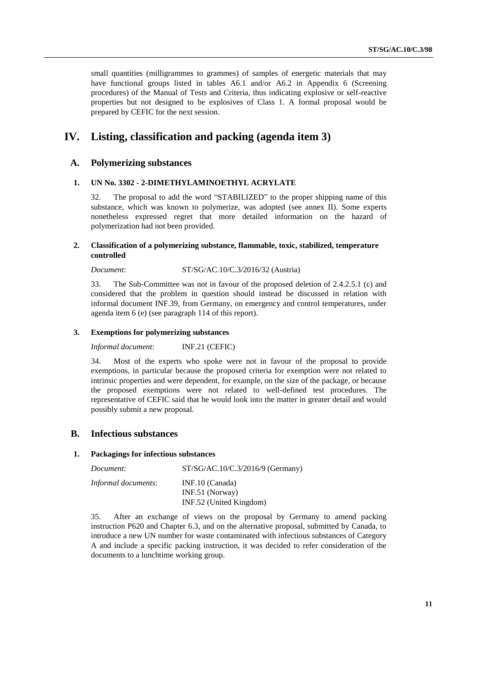small quantities (milligrammes to grammes) of samples of energetic materials that may have functional groups listed in tables A6.1 and/or A6.2 in Appendix 6 (Screening procedures) of the Manual of Tests and Criteria, thus indicating explosive or self-reactive properties but not designed to be explosives of Class 1. A formal proposal would be prepared by CEFIC for the next session.

# **IV. Listing, classification and packing (agenda item 3)**

### **A. Polymerizing substances**

#### **1. UN No. 3302 - 2-DIMETHYLAMINOETHYL ACRYLATE**

32. The proposal to add the word "STABILIZED" to the proper shipping name of this substance, which was known to polymerize, was adopted (see annex II). Some experts nonetheless expressed regret that more detailed information on the hazard of polymerization had not been provided.

#### **2. Classification of a polymerizing substance, flammable, toxic, stabilized, temperature controlled**

*Document*: ST/SG/AC.10/C.3/2016/32 (Austria)

33. The Sub-Committee was not in favour of the proposed deletion of 2.4.2.5.1 (c) and considered that the problem in question should instead be discussed in relation with informal document INF.39, from Germany, on emergency and control temperatures, under agenda item 6 (e) (see paragraph 114 of this report).

#### **3. Exemptions for polymerizing substances**

*Informal document*: INF.21 (CEFIC)

34. Most of the experts who spoke were not in favour of the proposal to provide exemptions, in particular because the proposed criteria for exemption were not related to intrinsic properties and were dependent, for example, on the size of the package, or because the proposed exemptions were not related to well-defined test procedures. The representative of CEFIC said that he would look into the matter in greater detail and would possibly submit a new proposal.

### **B. Infectious substances**

#### **1. Packagings for infectious substances**

| Document:           | $ST/SG/AC.10/C.3/2016/9$ (Germany) |
|---------------------|------------------------------------|
| Informal documents: | $INF.10$ (Canada)                  |
|                     | $INF.51$ (Norway)                  |
|                     | INF.52 (United Kingdom)            |

35. After an exchange of views on the proposal by Germany to amend packing instruction P620 and Chapter 6.3, and on the alternative proposal, submitted by Canada, to introduce a new UN number for waste contaminated with infectious substances of Category A and include a specific packing instruction, it was decided to refer consideration of the documents to a lunchtime working group.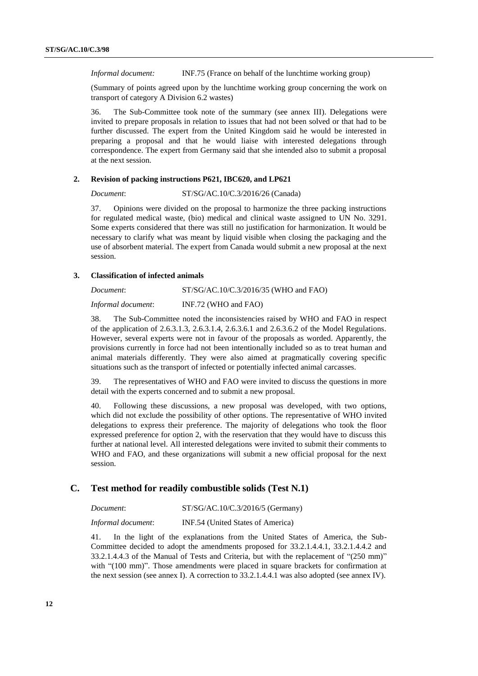*Informal document:* INF.75 (France on behalf of the lunchtime working group)

(Summary of points agreed upon by the lunchtime working group concerning the work on transport of category A Division 6.2 wastes)

36. The Sub-Committee took note of the summary (see annex III). Delegations were invited to prepare proposals in relation to issues that had not been solved or that had to be further discussed. The expert from the United Kingdom said he would be interested in preparing a proposal and that he would liaise with interested delegations through correspondence. The expert from Germany said that she intended also to submit a proposal at the next session.

#### **2. Revision of packing instructions P621, IBC620, and LP621**

*Document*: ST/SG/AC.10/C.3/2016/26 (Canada)

37. Opinions were divided on the proposal to harmonize the three packing instructions for regulated medical waste, (bio) medical and clinical waste assigned to UN No. 3291. Some experts considered that there was still no justification for harmonization. It would be necessary to clarify what was meant by liquid visible when closing the packaging and the use of absorbent material. The expert from Canada would submit a new proposal at the next session.

#### **3. Classification of infected animals**

*Document*: ST/SG/AC.10/C.3/2016/35 (WHO and FAO) *Informal document*: INF.72 (WHO and FAO)

38. The Sub-Committee noted the inconsistencies raised by WHO and FAO in respect of the application of 2.6.3.1.3, 2.6.3.1.4, 2.6.3.6.1 and 2.6.3.6.2 of the Model Regulations. However, several experts were not in favour of the proposals as worded. Apparently, the provisions currently in force had not been intentionally included so as to treat human and animal materials differently. They were also aimed at pragmatically covering specific situations such as the transport of infected or potentially infected animal carcasses.

39. The representatives of WHO and FAO were invited to discuss the questions in more detail with the experts concerned and to submit a new proposal.

40. Following these discussions, a new proposal was developed, with two options, which did not exclude the possibility of other options. The representative of WHO invited delegations to express their preference. The majority of delegations who took the floor expressed preference for option 2, with the reservation that they would have to discuss this further at national level. All interested delegations were invited to submit their comments to WHO and FAO, and these organizations will submit a new official proposal for the next session.

### **C. Test method for readily combustible solids (Test N.1)**

| Document: | ST/SG/AC.10/C.3/2016/5 (Germany) |
|-----------|----------------------------------|
|           |                                  |

*Informal document*: INF.54 (United States of America)

41. In the light of the explanations from the United States of America, the Sub-Committee decided to adopt the amendments proposed for 33.2.1.4.4.1, 33.2.1.4.4.2 and 33.2.1.4.4.3 of the Manual of Tests and Criteria, but with the replacement of "(250 mm)" with "(100 mm)". Those amendments were placed in square brackets for confirmation at the next session (see annex I). A correction to 33.2.1.4.4.1 was also adopted (see annex IV).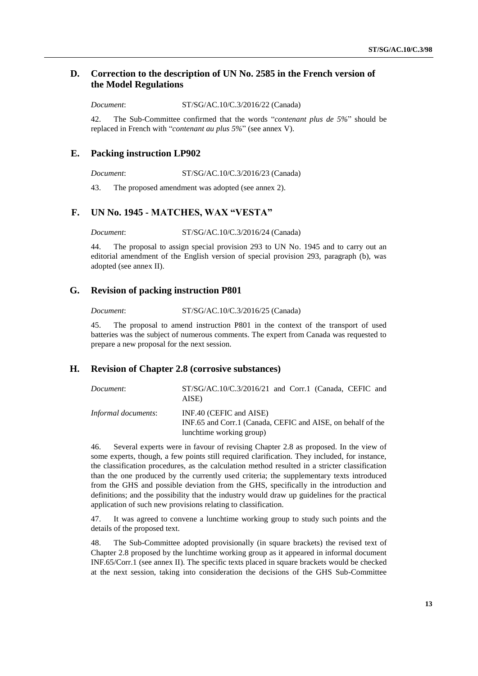### **D. Correction to the description of UN No. 2585 in the French version of the Model Regulations**

*Document*: ST/SG/AC.10/C.3/2016/22 (Canada)

42. The Sub-Committee confirmed that the words "*contenant plus de 5%*" should be replaced in French with "*contenant au plus 5%*" (see annex V).

### **E. Packing instruction LP902**

*Document*: ST/SG/AC.10/C.3/2016/23 (Canada)

43. The proposed amendment was adopted (see annex 2).

### **F. UN No. 1945 - MATCHES, WAX "VESTA"**

*Document*: ST/SG/AC.10/C.3/2016/24 (Canada)

44. The proposal to assign special provision 293 to UN No. 1945 and to carry out an editorial amendment of the English version of special provision 293, paragraph (b), was adopted (see annex II).

### **G. Revision of packing instruction P801**

*Document*: ST/SG/AC.10/C.3/2016/25 (Canada)

45. The proposal to amend instruction P801 in the context of the transport of used batteries was the subject of numerous comments. The expert from Canada was requested to prepare a new proposal for the next session.

#### **H. Revision of Chapter 2.8 (corrosive substances)**

| Document:           | $ST/SG/AC.10/C.3/2016/21$ and Corr.1 (Canada, CEFIC and<br>AISE)                                                   |
|---------------------|--------------------------------------------------------------------------------------------------------------------|
| Informal documents: | INF.40 (CEFIC and AISE)<br>INF.65 and Corr.1 (Canada, CEFIC and AISE, on behalf of the<br>lunchtime working group) |

46. Several experts were in favour of revising Chapter 2.8 as proposed. In the view of some experts, though, a few points still required clarification. They included, for instance, the classification procedures, as the calculation method resulted in a stricter classification than the one produced by the currently used criteria; the supplementary texts introduced from the GHS and possible deviation from the GHS, specifically in the introduction and definitions; and the possibility that the industry would draw up guidelines for the practical application of such new provisions relating to classification.

47. It was agreed to convene a lunchtime working group to study such points and the details of the proposed text.

48. The Sub-Committee adopted provisionally (in square brackets) the revised text of Chapter 2.8 proposed by the lunchtime working group as it appeared in informal document INF.65/Corr.1 (see annex II). The specific texts placed in square brackets would be checked at the next session, taking into consideration the decisions of the GHS Sub-Committee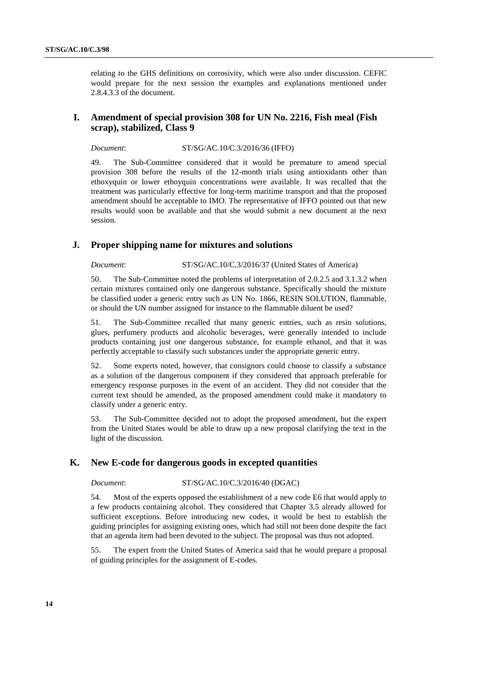relating to the GHS definitions on corrosivity, which were also under discussion. CEFIC would prepare for the next session the examples and explanations mentioned under 2.8.4.3.3 of the document.

### **I. Amendment of special provision 308 for UN No. 2216, Fish meal (Fish scrap), stabilized, Class 9**

*Document*: ST/SG/AC.10/C.3/2016/36 (IFFO)

49. The Sub-Committee considered that it would be premature to amend special provision 308 before the results of the 12-month trials using antioxidants other than ethoxyquin or lower ethoyquin concentrations were available. It was recalled that the treatment was particularly effective for long-term maritime transport and that the proposed amendment should be acceptable to IMO. The representative of IFFO pointed out that new results would soon be available and that she would submit a new document at the next session.

### **J. Proper shipping name for mixtures and solutions**

*Document*: ST/SG/AC.10/C.3/2016/37 (United States of America)

50. The Sub-Committee noted the problems of interpretation of 2.0.2.5 and 3.1.3.2 when certain mixtures contained only one dangerous substance. Specifically should the mixture be classified under a generic entry such as UN No. 1866, RESIN SOLUTION, flammable, or should the UN number assigned for instance to the flammable diluent be used?

51. The Sub-Committee recalled that many generic entries, such as resin solutions, glues, perfumery products and alcoholic beverages, were generally intended to include products containing just one dangerous substance, for example ethanol, and that it was perfectly acceptable to classify such substances under the appropriate generic entry.

52. Some experts noted, however, that consignors could choose to classify a substance as a solution of the dangerous component if they considered that approach preferable for emergency response purposes in the event of an accident. They did not consider that the current text should be amended, as the proposed amendment could make it mandatory to classify under a generic entry.

53. The Sub-Committee decided not to adopt the proposed amendment, but the expert from the United States would be able to draw up a new proposal clarifying the text in the light of the discussion.

### **K. New E-code for dangerous goods in excepted quantities**

#### *Document*: ST/SG/AC.10/C.3/2016/40 (DGAC)

54. Most of the experts opposed the establishment of a new code E6 that would apply to a few products containing alcohol. They considered that Chapter 3.5 already allowed for sufficient exceptions. Before introducing new codes, it would be best to establish the guiding principles for assigning existing ones, which had still not been done despite the fact that an agenda item had been devoted to the subject. The proposal was thus not adopted.

55. The expert from the United States of America said that he would prepare a proposal of guiding principles for the assignment of E-codes.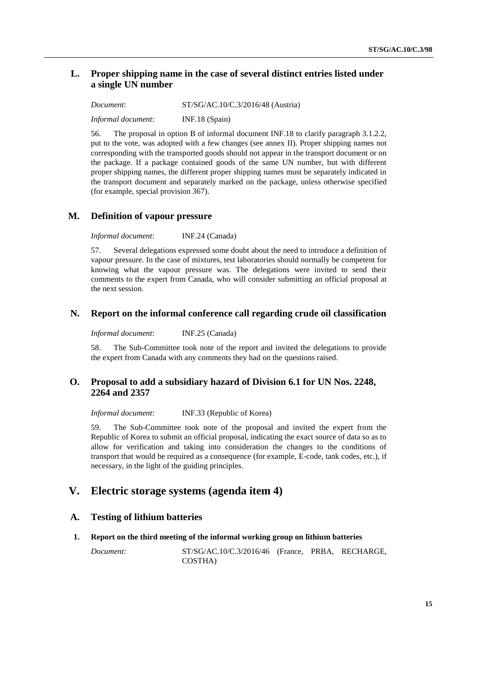### **L. Proper shipping name in the case of several distinct entries listed under a single UN number**

*Document*: ST/SG/AC.10/C.3/2016/48 (Austria)

*Informal document*: INF.18 (Spain)

56. The proposal in option B of informal document INF.18 to clarify paragraph 3.1.2.2, put to the vote, was adopted with a few changes (see annex II). Proper shipping names not corresponding with the transported goods should not appear in the transport document or on the package. If a package contained goods of the same UN number, but with different proper shipping names, the different proper shipping names must be separately indicated in the transport document and separately marked on the package, unless otherwise specified (for example, special provision 367).

### **M. Definition of vapour pressure**

*Informal document*: INF.24 (Canada)

57. Several delegations expressed some doubt about the need to introduce a definition of vapour pressure. In the case of mixtures, test laboratories should normally be competent for knowing what the vapour pressure was. The delegations were invited to send their comments to the expert from Canada, who will consider submitting an official proposal at the next session.

### **N. Report on the informal conference call regarding crude oil classification**

*Informal document*: INF.25 (Canada)

58. The Sub-Committee took note of the report and invited the delegations to provide the expert from Canada with any comments they had on the questions raised.

### **O. Proposal to add a subsidiary hazard of Division 6.1 for UN Nos. 2248, 2264 and 2357**

*Informal document*: INF.33 (Republic of Korea)

59. The Sub-Committee took note of the proposal and invited the expert from the Republic of Korea to submit an official proposal, indicating the exact source of data so as to allow for verification and taking into consideration the changes to the conditions of transport that would be required as a consequence (for example, E-code, tank codes, etc.), if necessary, in the light of the guiding principles.

# **V. Electric storage systems (agenda item 4)**

### **A. Testing of lithium batteries**

#### **1. Report on the third meeting of the informal working group on lithium batteries**

*Document:* ST/SG/AC.10/C.3/2016/46 (France, PRBA, RECHARGE, COSTHA)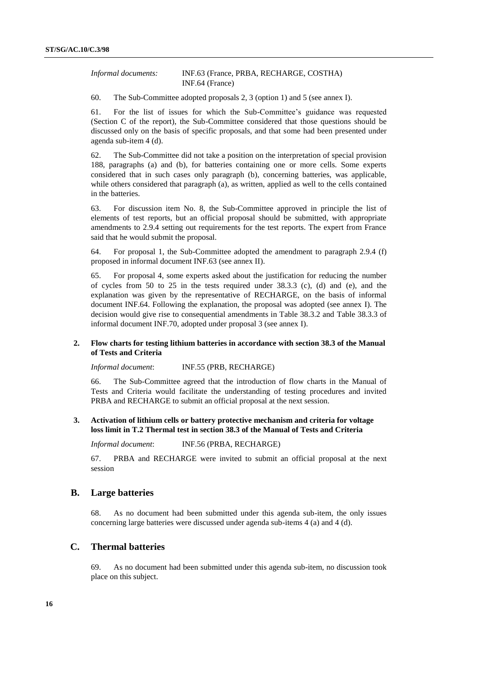*Informal documents:* INF.63 (France, PRBA, RECHARGE, COSTHA) INF.64 (France)

60. The Sub-Committee adopted proposals 2, 3 (option 1) and 5 (see annex I).

61. For the list of issues for which the Sub-Committee's guidance was requested (Section C of the report), the Sub-Committee considered that those questions should be discussed only on the basis of specific proposals, and that some had been presented under agenda sub-item 4 (d).

62. The Sub-Committee did not take a position on the interpretation of special provision 188, paragraphs (a) and (b), for batteries containing one or more cells. Some experts considered that in such cases only paragraph (b), concerning batteries, was applicable, while others considered that paragraph (a), as written, applied as well to the cells contained in the batteries.

63. For discussion item No. 8, the Sub-Committee approved in principle the list of elements of test reports, but an official proposal should be submitted, with appropriate amendments to 2.9.4 setting out requirements for the test reports. The expert from France said that he would submit the proposal.

64. For proposal 1, the Sub-Committee adopted the amendment to paragraph 2.9.4 (f) proposed in informal document INF.63 (see annex II).

65. For proposal 4, some experts asked about the justification for reducing the number of cycles from 50 to 25 in the tests required under 38.3.3 (c), (d) and (e), and the explanation was given by the representative of RECHARGE, on the basis of informal document INF.64. Following the explanation, the proposal was adopted (see annex I). The decision would give rise to consequential amendments in Table 38.3.2 and Table 38.3.3 of informal document INF.70, adopted under proposal 3 (see annex I).

#### **2. Flow charts for testing lithium batteries in accordance with section 38.3 of the Manual of Tests and Criteria**

*Informal document*: INF.55 (PRB, RECHARGE)

66. The Sub-Committee agreed that the introduction of flow charts in the Manual of Tests and Criteria would facilitate the understanding of testing procedures and invited PRBA and RECHARGE to submit an official proposal at the next session.

#### **3. Activation of lithium cells or battery protective mechanism and criteria for voltage loss limit in T.2 Thermal test in section 38.3 of the Manual of Tests and Criteria**

*Informal document*: INF.56 (PRBA, RECHARGE)

67. PRBA and RECHARGE were invited to submit an official proposal at the next session

#### **B. Large batteries**

68. As no document had been submitted under this agenda sub-item, the only issues concerning large batteries were discussed under agenda sub-items 4 (a) and 4 (d).

### **C. Thermal batteries**

69. As no document had been submitted under this agenda sub-item, no discussion took place on this subject.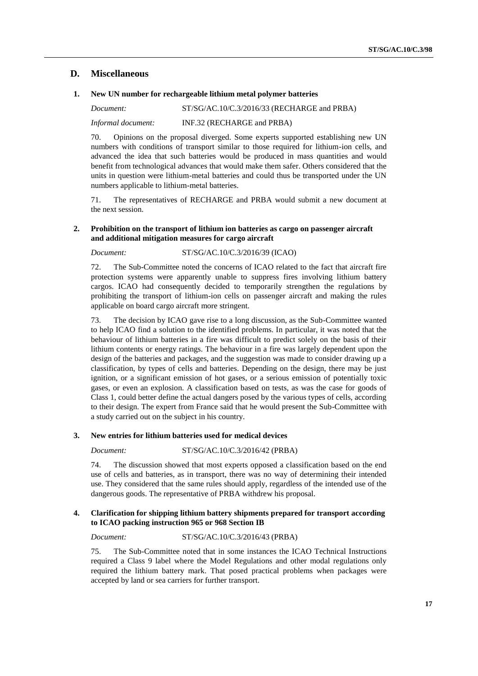### **D. Miscellaneous**

#### **1. New UN number for rechargeable lithium metal polymer batteries**

*Document:* ST/SG/AC.10/C.3/2016/33 (RECHARGE and PRBA)

*Informal document:* INF.32 (RECHARGE and PRBA)

70. Opinions on the proposal diverged. Some experts supported establishing new UN numbers with conditions of transport similar to those required for lithium-ion cells, and advanced the idea that such batteries would be produced in mass quantities and would benefit from technological advances that would make them safer. Others considered that the units in question were lithium-metal batteries and could thus be transported under the UN numbers applicable to lithium-metal batteries.

71. The representatives of RECHARGE and PRBA would submit a new document at the next session.

#### **2. Prohibition on the transport of lithium ion batteries as cargo on passenger aircraft and additional mitigation measures for cargo aircraft**

*Document:* ST/SG/AC.10/C.3/2016/39 (ICAO)

72. The Sub-Committee noted the concerns of ICAO related to the fact that aircraft fire protection systems were apparently unable to suppress fires involving lithium battery cargos. ICAO had consequently decided to temporarily strengthen the regulations by prohibiting the transport of lithium-ion cells on passenger aircraft and making the rules applicable on board cargo aircraft more stringent.

73. The decision by ICAO gave rise to a long discussion, as the Sub-Committee wanted to help ICAO find a solution to the identified problems. In particular, it was noted that the behaviour of lithium batteries in a fire was difficult to predict solely on the basis of their lithium contents or energy ratings. The behaviour in a fire was largely dependent upon the design of the batteries and packages, and the suggestion was made to consider drawing up a classification, by types of cells and batteries. Depending on the design, there may be just ignition, or a significant emission of hot gases, or a serious emission of potentially toxic gases, or even an explosion. A classification based on tests, as was the case for goods of Class 1, could better define the actual dangers posed by the various types of cells, according to their design. The expert from France said that he would present the Sub-Committee with a study carried out on the subject in his country.

#### **3. New entries for lithium batteries used for medical devices**

*Document:* ST/SG/AC.10/C.3/2016/42 (PRBA)

74. The discussion showed that most experts opposed a classification based on the end use of cells and batteries, as in transport, there was no way of determining their intended use. They considered that the same rules should apply, regardless of the intended use of the dangerous goods. The representative of PRBA withdrew his proposal.

#### **4. Clarification for shipping lithium battery shipments prepared for transport according to ICAO packing instruction 965 or 968 Section IB**

*Document:* ST/SG/AC.10/C.3/2016/43 (PRBA)

75. The Sub-Committee noted that in some instances the ICAO Technical Instructions required a Class 9 label where the Model Regulations and other modal regulations only required the lithium battery mark. That posed practical problems when packages were accepted by land or sea carriers for further transport.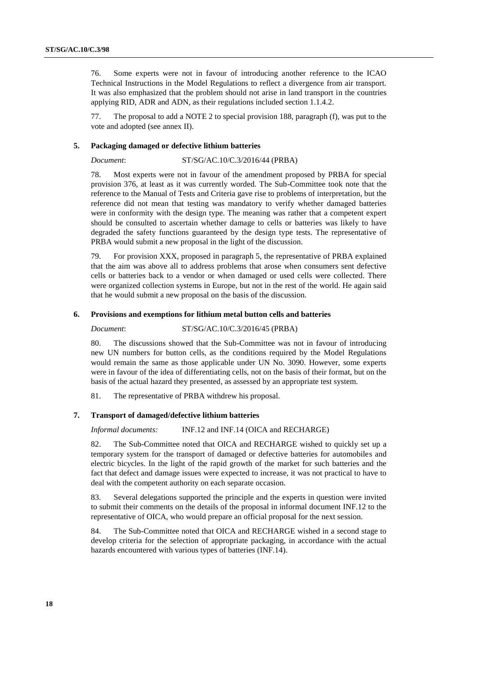76. Some experts were not in favour of introducing another reference to the ICAO Technical Instructions in the Model Regulations to reflect a divergence from air transport. It was also emphasized that the problem should not arise in land transport in the countries applying RID, ADR and ADN, as their regulations included section 1.1.4.2.

77. The proposal to add a NOTE 2 to special provision 188, paragraph (f), was put to the vote and adopted (see annex II).

#### **5. Packaging damaged or defective lithium batteries**

*Document*: ST/SG/AC.10/C.3/2016/44 (PRBA)

78. Most experts were not in favour of the amendment proposed by PRBA for special provision 376, at least as it was currently worded. The Sub-Committee took note that the reference to the Manual of Tests and Criteria gave rise to problems of interpretation, but the reference did not mean that testing was mandatory to verify whether damaged batteries were in conformity with the design type. The meaning was rather that a competent expert should be consulted to ascertain whether damage to cells or batteries was likely to have degraded the safety functions guaranteed by the design type tests. The representative of PRBA would submit a new proposal in the light of the discussion.

79. For provision XXX, proposed in paragraph 5, the representative of PRBA explained that the aim was above all to address problems that arose when consumers sent defective cells or batteries back to a vendor or when damaged or used cells were collected. There were organized collection systems in Europe, but not in the rest of the world. He again said that he would submit a new proposal on the basis of the discussion.

#### **6. Provisions and exemptions for lithium metal button cells and batteries**

# *Document*: ST/SG/AC.10/C.3/2016/45 (PRBA)

80. The discussions showed that the Sub-Committee was not in favour of introducing new UN numbers for button cells, as the conditions required by the Model Regulations would remain the same as those applicable under UN No. 3090. However, some experts were in favour of the idea of differentiating cells, not on the basis of their format, but on the basis of the actual hazard they presented, as assessed by an appropriate test system.

81. The representative of PRBA withdrew his proposal.

#### **7. Transport of damaged/defective lithium batteries**

#### *Informal documents:* INF.12 and INF.14 (OICA and RECHARGE)

82. The Sub-Committee noted that OICA and RECHARGE wished to quickly set up a temporary system for the transport of damaged or defective batteries for automobiles and electric bicycles. In the light of the rapid growth of the market for such batteries and the fact that defect and damage issues were expected to increase, it was not practical to have to deal with the competent authority on each separate occasion.

83. Several delegations supported the principle and the experts in question were invited to submit their comments on the details of the proposal in informal document INF.12 to the representative of OICA, who would prepare an official proposal for the next session.

84. The Sub-Committee noted that OICA and RECHARGE wished in a second stage to develop criteria for the selection of appropriate packaging, in accordance with the actual hazards encountered with various types of batteries (INF.14).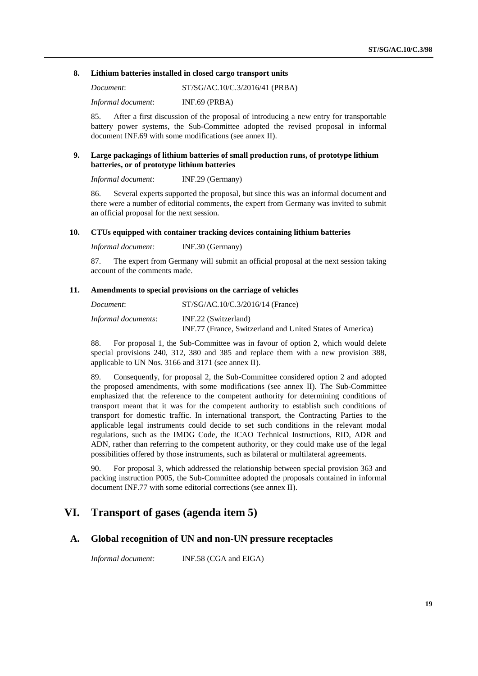#### **8. Lithium batteries installed in closed cargo transport units**

*Document*: ST/SG/AC.10/C.3/2016/41 (PRBA)

*Informal document*: INF.69 (PRBA)

85. After a first discussion of the proposal of introducing a new entry for transportable battery power systems, the Sub-Committee adopted the revised proposal in informal document INF.69 with some modifications (see annex II).

#### **9. Large packagings of lithium batteries of small production runs, of prototype lithium batteries, or of prototype lithium batteries**

*Informal document*: INF.29 (Germany)

86. Several experts supported the proposal, but since this was an informal document and there were a number of editorial comments, the expert from Germany was invited to submit an official proposal for the next session.

#### **10. CTUs equipped with container tracking devices containing lithium batteries**

*Informal document:* INF.30 (Germany)

87. The expert from Germany will submit an official proposal at the next session taking account of the comments made.

#### **11. Amendments to special provisions on the carriage of vehicles**

| Document:           | $ST/SG/AC.10/C.3/2016/14$ (France)                        |
|---------------------|-----------------------------------------------------------|
| Informal documents: | INF.22 (Switzerland)                                      |
|                     | INF.77 (France, Switzerland and United States of America) |

88. For proposal 1, the Sub-Committee was in favour of option 2, which would delete special provisions 240, 312, 380 and 385 and replace them with a new provision 388, applicable to UN Nos. 3166 and 3171 (see annex II).

89. Consequently, for proposal 2, the Sub-Committee considered option 2 and adopted the proposed amendments, with some modifications (see annex II). The Sub-Committee emphasized that the reference to the competent authority for determining conditions of transport meant that it was for the competent authority to establish such conditions of transport for domestic traffic. In international transport, the Contracting Parties to the applicable legal instruments could decide to set such conditions in the relevant modal regulations, such as the IMDG Code, the ICAO Technical Instructions, RID, ADR and ADN, rather than referring to the competent authority, or they could make use of the legal possibilities offered by those instruments, such as bilateral or multilateral agreements.

90. For proposal 3, which addressed the relationship between special provision 363 and packing instruction P005, the Sub-Committee adopted the proposals contained in informal document INF.77 with some editorial corrections (see annex II).

## **VI. Transport of gases (agenda item 5)**

#### **A. Global recognition of UN and non-UN pressure receptacles**

*Informal document:* INF.58 (CGA and EIGA)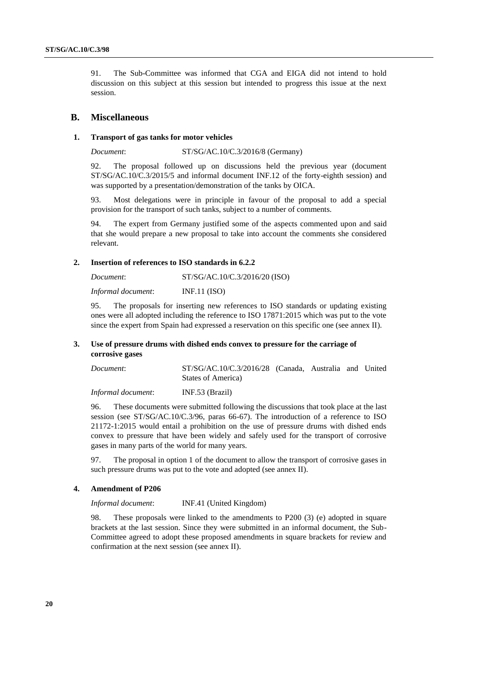91. The Sub-Committee was informed that CGA and EIGA did not intend to hold discussion on this subject at this session but intended to progress this issue at the next session.

#### **B. Miscellaneous**

#### **1. Transport of gas tanks for motor vehicles**

*Document*: ST/SG/AC.10/C.3/2016/8 (Germany)

92. The proposal followed up on discussions held the previous year (document ST/SG/AC.10/C.3/2015/5 and informal document INF.12 of the forty-eighth session) and was supported by a presentation/demonstration of the tanks by OICA.

93. Most delegations were in principle in favour of the proposal to add a special provision for the transport of such tanks, subject to a number of comments.

94. The expert from Germany justified some of the aspects commented upon and said that she would prepare a new proposal to take into account the comments she considered relevant.

#### **2. Insertion of references to ISO standards in 6.2.2**

*Document*: ST/SG/AC.10/C.3/2016/20 (ISO) *Informal document*: INF.11 (ISO)

95. The proposals for inserting new references to ISO standards or updating existing ones were all adopted including the reference to ISO 17871:2015 which was put to the vote since the expert from Spain had expressed a reservation on this specific one (see annex II).

#### **3. Use of pressure drums with dished ends convex to pressure for the carriage of corrosive gases**

| Document: | ST/SG/AC.10/C.3/2016/28 (Canada, Australia and United |  |  |
|-----------|-------------------------------------------------------|--|--|
|           | States of America)                                    |  |  |
|           |                                                       |  |  |

*Informal document*: INF.53 (Brazil)

96. These documents were submitted following the discussions that took place at the last session (see ST/SG/AC.10/C.3/96, paras 66-67). The introduction of a reference to ISO 21172-1:2015 would entail a prohibition on the use of pressure drums with dished ends convex to pressure that have been widely and safely used for the transport of corrosive gases in many parts of the world for many years.

97. The proposal in option 1 of the document to allow the transport of corrosive gases in such pressure drums was put to the vote and adopted (see annex II).

#### **4. Amendment of P206**

*Informal document*: INF.41 (United Kingdom)

98. These proposals were linked to the amendments to P200 (3) (e) adopted in square brackets at the last session. Since they were submitted in an informal document, the Sub-Committee agreed to adopt these proposed amendments in square brackets for review and confirmation at the next session (see annex II).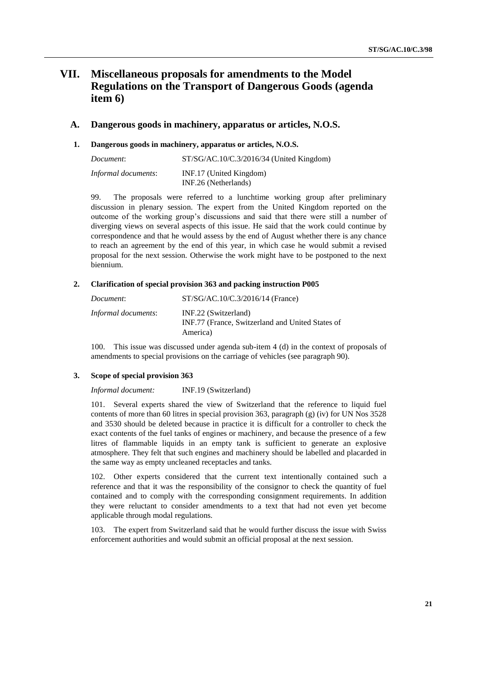# **VII. Miscellaneous proposals for amendments to the Model Regulations on the Transport of Dangerous Goods (agenda item 6)**

#### **A. Dangerous goods in machinery, apparatus or articles, N.O.S.**

#### **1. Dangerous goods in machinery, apparatus or articles, N.O.S.**

| Document:                  | $ST/SG/AC.10/C.3/2016/34$ (United Kingdom)      |
|----------------------------|-------------------------------------------------|
| <i>Informal documents:</i> | INF.17 (United Kingdom)<br>INF.26 (Netherlands) |

99. The proposals were referred to a lunchtime working group after preliminary discussion in plenary session. The expert from the United Kingdom reported on the outcome of the working group's discussions and said that there were still a number of diverging views on several aspects of this issue. He said that the work could continue by correspondence and that he would assess by the end of August whether there is any chance to reach an agreement by the end of this year, in which case he would submit a revised proposal for the next session. Otherwise the work might have to be postponed to the next biennium.

#### **2. Clarification of special provision 363 and packing instruction P005**

| Document:           | $ST/SG/AC.10/C.3/2016/14$ (France)                                                   |
|---------------------|--------------------------------------------------------------------------------------|
| Informal documents: | INF.22 (Switzerland)<br>INF.77 (France, Switzerland and United States of<br>America) |

100. This issue was discussed under agenda sub-item 4 (d) in the context of proposals of amendments to special provisions on the carriage of vehicles (see paragraph 90).

#### **3. Scope of special provision 363**

*Informal document:* INF.19 (Switzerland)

101. Several experts shared the view of Switzerland that the reference to liquid fuel contents of more than 60 litres in special provision 363, paragraph (g) (iv) for UN Nos 3528 and 3530 should be deleted because in practice it is difficult for a controller to check the exact contents of the fuel tanks of engines or machinery, and because the presence of a few litres of flammable liquids in an empty tank is sufficient to generate an explosive atmosphere. They felt that such engines and machinery should be labelled and placarded in the same way as empty uncleaned receptacles and tanks.

102. Other experts considered that the current text intentionally contained such a reference and that it was the responsibility of the consignor to check the quantity of fuel contained and to comply with the corresponding consignment requirements. In addition they were reluctant to consider amendments to a text that had not even yet become applicable through modal regulations.

103. The expert from Switzerland said that he would further discuss the issue with Swiss enforcement authorities and would submit an official proposal at the next session.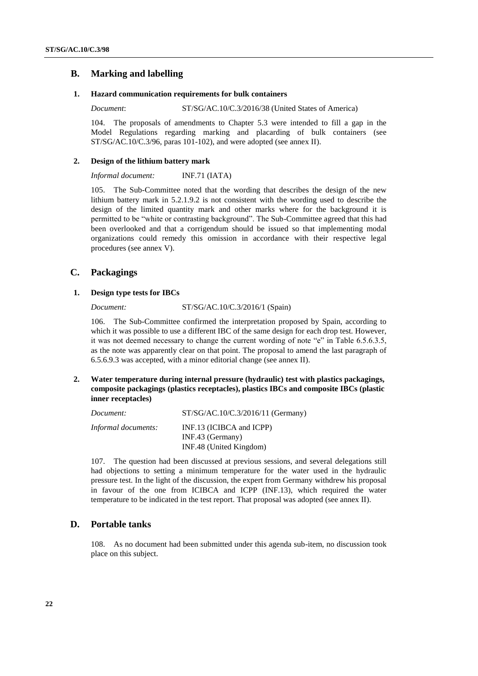### **B. Marking and labelling**

#### **1. Hazard communication requirements for bulk containers**

*Document*: ST/SG/AC.10/C.3/2016/38 (United States of America)

104. The proposals of amendments to Chapter 5.3 were intended to fill a gap in the Model Regulations regarding marking and placarding of bulk containers (see ST/SG/AC.10/C.3/96, paras 101-102), and were adopted (see annex II).

#### **2. Design of the lithium battery mark**

*Informal document:* INF.71 (IATA)

105. The Sub-Committee noted that the wording that describes the design of the new lithium battery mark in 5.2.1.9.2 is not consistent with the wording used to describe the design of the limited quantity mark and other marks where for the background it is permitted to be "white or contrasting background". The Sub-Committee agreed that this had been overlooked and that a corrigendum should be issued so that implementing modal organizations could remedy this omission in accordance with their respective legal procedures (see annex V).

### **C. Packagings**

#### **1. Design type tests for IBCs**

*Document:* ST/SG/AC.10/C.3/2016/1 (Spain)

106. The Sub-Committee confirmed the interpretation proposed by Spain, according to which it was possible to use a different IBC of the same design for each drop test. However, it was not deemed necessary to change the current wording of note "e" in Table 6.5.6.3.5, as the note was apparently clear on that point. The proposal to amend the last paragraph of 6.5.6.9.3 was accepted, with a minor editorial change (see annex II).

**2. Water temperature during internal pressure (hydraulic) test with plastics packagings, composite packagings (plastics receptacles), plastics IBCs and composite IBCs (plastic inner receptacles)**

| Document:           | ST/SG/AC.10/C.3/2016/11 (Germany) |
|---------------------|-----------------------------------|
| Informal documents: | INF.13 (ICIBCA and ICPP)          |
|                     | INF.43 (Germany)                  |
|                     | INF.48 (United Kingdom)           |

107. The question had been discussed at previous sessions, and several delegations still had objections to setting a minimum temperature for the water used in the hydraulic pressure test. In the light of the discussion, the expert from Germany withdrew his proposal in favour of the one from ICIBCA and ICPP (INF.13), which required the water temperature to be indicated in the test report. That proposal was adopted (see annex II).

### **D. Portable tanks**

108. As no document had been submitted under this agenda sub-item, no discussion took place on this subject.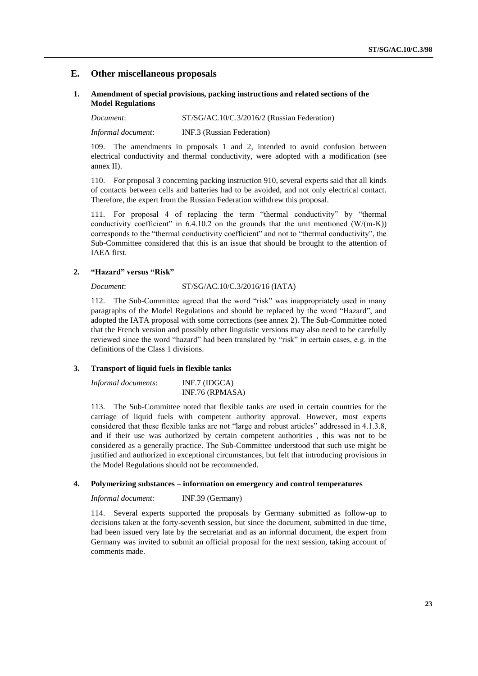### **E. Other miscellaneous proposals**

#### **1. Amendment of special provisions, packing instructions and related sections of the Model Regulations**

*Document*: ST/SG/AC.10/C.3/2016/2 (Russian Federation)

*Informal document*: INF.3 (Russian Federation)

109. The amendments in proposals 1 and 2, intended to avoid confusion between electrical conductivity and thermal conductivity, were adopted with a modification (see annex II).

110. For proposal 3 concerning packing instruction 910, several experts said that all kinds of contacts between cells and batteries had to be avoided, and not only electrical contact. Therefore, the expert from the Russian Federation withdrew this proposal.

111. For proposal 4 of replacing the term "thermal conductivity" by "thermal conductivity coefficient" in  $6.4.10.2$  on the grounds that the unit mentioned  $(W/(m-K))$ corresponds to the "thermal conductivity coefficient" and not to "thermal conductivity", the Sub-Committee considered that this is an issue that should be brought to the attention of IAEA first.

### **2. "Hazard" versus "Risk"**

#### *Document*: ST/SG/AC.10/C.3/2016/16 (IATA)

112. The Sub-Committee agreed that the word "risk" was inappropriately used in many paragraphs of the Model Regulations and should be replaced by the word "Hazard", and adopted the IATA proposal with some corrections (see annex 2). The Sub-Committee noted that the French version and possibly other linguistic versions may also need to be carefully reviewed since the word "hazard" had been translated by "risk" in certain cases, e.g. in the definitions of the Class 1 divisions.

#### **3. Transport of liquid fuels in flexible tanks**

| Informal documents: | $INF.7$ (IDGCA) |
|---------------------|-----------------|
|                     | INF.76 (RPMASA) |

113. The Sub-Committee noted that flexible tanks are used in certain countries for the carriage of liquid fuels with competent authority approval. However, most experts considered that these flexible tanks are not "large and robust articles" addressed in 4.1.3.8, and if their use was authorized by certain competent authorities , this was not to be considered as a generally practice. The Sub-Committee understood that such use might be justified and authorized in exceptional circumstances, but felt that introducing provisions in the Model Regulations should not be recommended.

#### **4. Polymerizing substances – information on emergency and control temperatures**

*Informal document:* INF.39 (Germany)

114. Several experts supported the proposals by Germany submitted as follow-up to decisions taken at the forty-seventh session, but since the document, submitted in due time, had been issued very late by the secretariat and as an informal document, the expert from Germany was invited to submit an official proposal for the next session, taking account of comments made.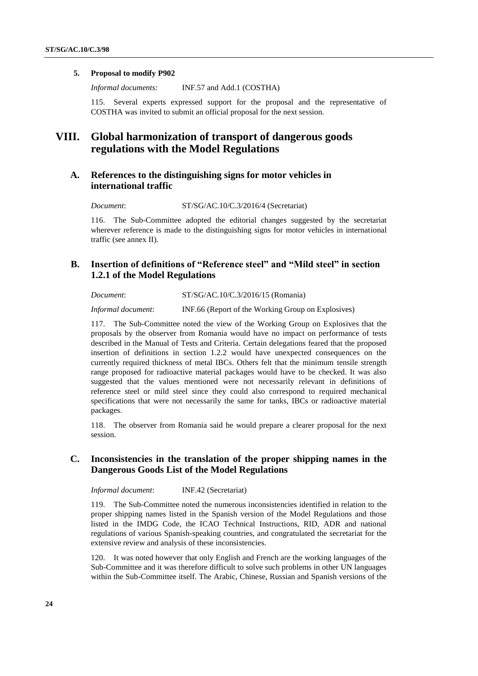### **5. Proposal to modify P902**

*Informal documents:* INF.57 and Add.1 (COSTHA)

115. Several experts expressed support for the proposal and the representative of COSTHA was invited to submit an official proposal for the next session.

# **VIII. Global harmonization of transport of dangerous goods regulations with the Model Regulations**

### **A. References to the distinguishing signs for motor vehicles in international traffic**

*Document*: ST/SG/AC.10/C.3/2016/4 (Secretariat)

116. The Sub-Committee adopted the editorial changes suggested by the secretariat wherever reference is made to the distinguishing signs for motor vehicles in international traffic (see annex II).

### **B. Insertion of definitions of "Reference steel" and "Mild steel" in section 1.2.1 of the Model Regulations**

*Document*: ST/SG/AC.10/C.3/2016/15 (Romania)

*Informal document*: INF.66 (Report of the Working Group on Explosives)

117. The Sub-Committee noted the view of the Working Group on Explosives that the proposals by the observer from Romania would have no impact on performance of tests described in the Manual of Tests and Criteria. Certain delegations feared that the proposed insertion of definitions in section 1.2.2 would have unexpected consequences on the currently required thickness of metal IBCs. Others felt that the minimum tensile strength range proposed for radioactive material packages would have to be checked. It was also suggested that the values mentioned were not necessarily relevant in definitions of reference steel or mild steel since they could also correspond to required mechanical specifications that were not necessarily the same for tanks, IBCs or radioactive material packages.

118. The observer from Romania said he would prepare a clearer proposal for the next session.

### **C. Inconsistencies in the translation of the proper shipping names in the Dangerous Goods List of the Model Regulations**

*Informal document*: INF.42 (Secretariat)

119. The Sub-Committee noted the numerous inconsistencies identified in relation to the proper shipping names listed in the Spanish version of the Model Regulations and those listed in the IMDG Code, the ICAO Technical Instructions, RID, ADR and national regulations of various Spanish-speaking countries, and congratulated the secretariat for the extensive review and analysis of these inconsistencies.

120. It was noted however that only English and French are the working languages of the Sub-Committee and it was therefore difficult to solve such problems in other UN languages within the Sub-Committee itself. The Arabic, Chinese, Russian and Spanish versions of the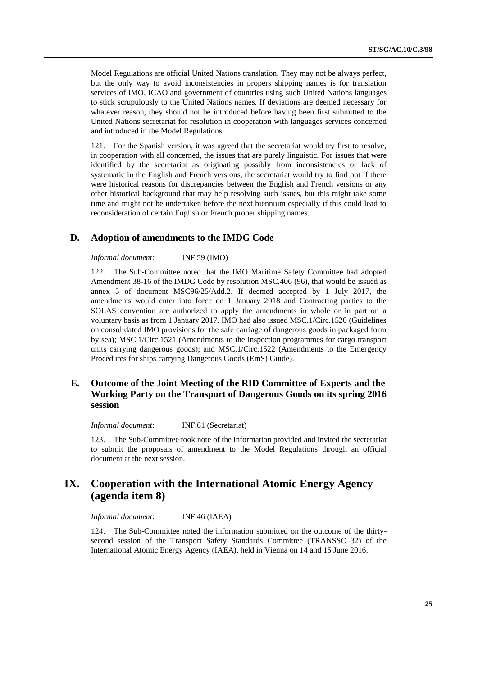Model Regulations are official United Nations translation. They may not be always perfect, but the only way to avoid inconsistencies in propers shipping names is for translation services of IMO, ICAO and government of countries using such United Nations languages to stick scrupulously to the United Nations names. If deviations are deemed necessary for whatever reason, they should not be introduced before having been first submitted to the United Nations secretariat for resolution in cooperation with languages services concerned and introduced in the Model Regulations.

121. For the Spanish version, it was agreed that the secretariat would try first to resolve, in cooperation with all concerned, the issues that are purely linguistic. For issues that were identified by the secretariat as originating possibly from inconsistencies or lack of systematic in the English and French versions, the secretariat would try to find out if there were historical reasons for discrepancies between the English and French versions or any other historical background that may help resolving such issues, but this might take some time and might not be undertaken before the next biennium especially if this could lead to reconsideration of certain English or French proper shipping names.

### **D. Adoption of amendments to the IMDG Code**

#### *Informal document:* INF.59 (IMO)

122. The Sub-Committee noted that the IMO Maritime Safety Committee had adopted Amendment 38-16 of the IMDG Code by resolution MSC.406 (96), that would be issued as annex 5 of document MSC96/25/Add.2. If deemed accepted by 1 July 2017, the amendments would enter into force on 1 January 2018 and Contracting parties to the SOLAS convention are authorized to apply the amendments in whole or in part on a voluntary basis as from 1 January 2017. IMO had also issued MSC.1/Circ.1520 (Guidelines on consolidated IMO provisions for the safe carriage of dangerous goods in packaged form by sea); MSC.1/Circ.1521 (Amendments to the inspection programmes for cargo transport units carrying dangerous goods); and MSC.1/Circ.1522 (Amendments to the Emergency Procedures for ships carrying Dangerous Goods (EmS) Guide).

### **E. Outcome of the Joint Meeting of the RID Committee of Experts and the Working Party on the Transport of Dangerous Goods on its spring 2016 session**

*Informal document*: INF.61 (Secretariat)

123. The Sub-Committee took note of the information provided and invited the secretariat to submit the proposals of amendment to the Model Regulations through an official document at the next session.

# **IX. Cooperation with the International Atomic Energy Agency (agenda item 8)**

*Informal document*: INF.46 (IAEA)

124. The Sub-Committee noted the information submitted on the outcome of the thirtysecond session of the Transport Safety Standards Committee (TRANSSC 32) of the International Atomic Energy Agency (IAEA), held in Vienna on 14 and 15 June 2016.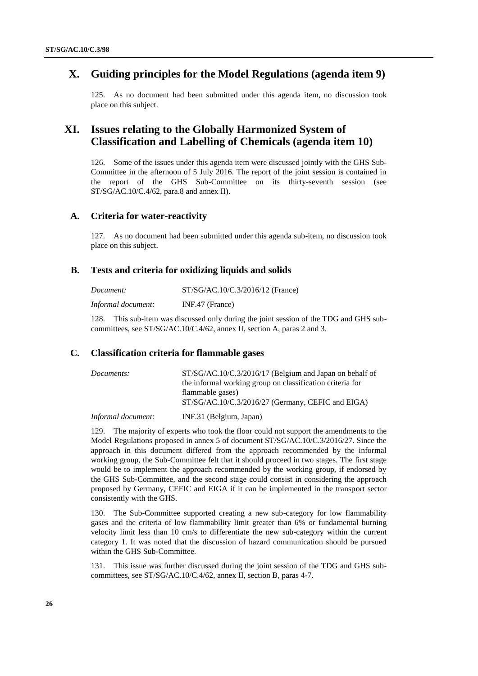# **X. Guiding principles for the Model Regulations (agenda item 9)**

125. As no document had been submitted under this agenda item, no discussion took place on this subject.

# **XI. Issues relating to the Globally Harmonized System of Classification and Labelling of Chemicals (agenda item 10)**

126. Some of the issues under this agenda item were discussed jointly with the GHS Sub-Committee in the afternoon of 5 July 2016. The report of the joint session is contained in the report of the GHS Sub-Committee on its thirty-seventh session (see ST/SG/AC.10/C.4/62, para.8 and annex II).

#### **A. Criteria for water-reactivity**

127. As no document had been submitted under this agenda sub-item, no discussion took place on this subject.

#### **B. Tests and criteria for oxidizing liquids and solids**

| Document:          | ST/SG/AC.10/C.3/2016/12 (France) |
|--------------------|----------------------------------|
| Informal document: | $INF.47$ (France)                |

128. This sub-item was discussed only during the joint session of the TDG and GHS subcommittees, see ST/SG/AC.10/C.4/62, annex II, section A, paras 2 and 3.

#### **C. Classification criteria for flammable gases**

| Documents:         | ST/SG/AC.10/C.3/2016/17 (Belgium and Japan on behalf of   |
|--------------------|-----------------------------------------------------------|
|                    | the informal working group on classification criteria for |
|                    | flammable gases)                                          |
|                    | $ST/SG/AC.10/C.3/2016/27$ (Germany, CEFIC and EIGA)       |
| Informal document: | INF.31 (Belgium, Japan)                                   |

129. The majority of experts who took the floor could not support the amendments to the Model Regulations proposed in annex 5 of document ST/SG/AC.10/C.3/2016/27. Since the approach in this document differed from the approach recommended by the informal working group, the Sub-Committee felt that it should proceed in two stages. The first stage would be to implement the approach recommended by the working group, if endorsed by the GHS Sub-Committee, and the second stage could consist in considering the approach proposed by Germany, CEFIC and EIGA if it can be implemented in the transport sector consistently with the GHS.

130. The Sub-Committee supported creating a new sub-category for low flammability gases and the criteria of low flammability limit greater than 6% or fundamental burning velocity limit less than 10 cm/s to differentiate the new sub-category within the current category 1. It was noted that the discussion of hazard communication should be pursued within the GHS Sub-Committee.

131. This issue was further discussed during the joint session of the TDG and GHS subcommittees, see ST/SG/AC.10/C.4/62, annex II, section B, paras 4-7.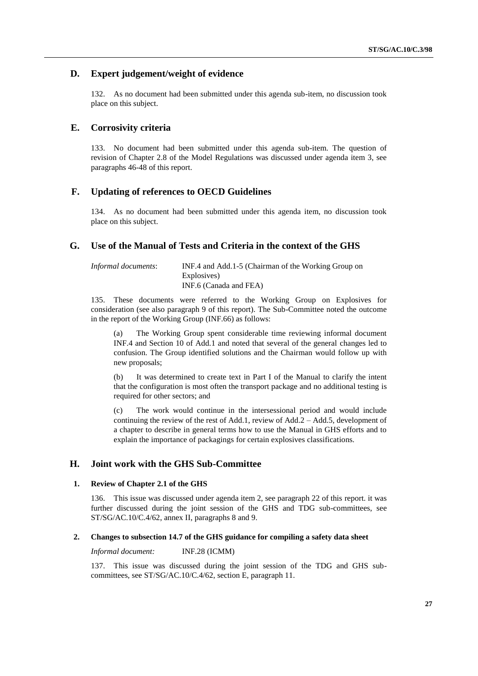### **D. Expert judgement/weight of evidence**

132. As no document had been submitted under this agenda sub-item, no discussion took place on this subject.

### **E. Corrosivity criteria**

133. No document had been submitted under this agenda sub-item. The question of revision of Chapter 2.8 of the Model Regulations was discussed under agenda item 3, see paragraphs 46-48 of this report.

### **F. Updating of references to OECD Guidelines**

134. As no document had been submitted under this agenda item, no discussion took place on this subject.

#### **G. Use of the Manual of Tests and Criteria in the context of the GHS**

| Informal documents: | INF.4 and Add.1-5 (Chairman of the Working Group on |
|---------------------|-----------------------------------------------------|
|                     | Explosives)                                         |
|                     | INF.6 (Canada and FEA)                              |

135. These documents were referred to the Working Group on Explosives for consideration (see also paragraph 9 of this report). The Sub-Committee noted the outcome in the report of the Working Group (INF.66) as follows:

(a) The Working Group spent considerable time reviewing informal document INF.4 and Section 10 of Add.1 and noted that several of the general changes led to confusion. The Group identified solutions and the Chairman would follow up with new proposals;

(b) It was determined to create text in Part I of the Manual to clarify the intent that the configuration is most often the transport package and no additional testing is required for other sectors; and

(c) The work would continue in the intersessional period and would include continuing the review of the rest of Add.1, review of Add.2 – Add.5, development of a chapter to describe in general terms how to use the Manual in GHS efforts and to explain the importance of packagings for certain explosives classifications.

### **H. Joint work with the GHS Sub-Committee**

#### **1. Review of Chapter 2.1 of the GHS**

136. This issue was discussed under agenda item 2, see paragraph 22 of this report. it was further discussed during the joint session of the GHS and TDG sub-committees, see ST/SG/AC.10/C.4/62, annex II, paragraphs 8 and 9.

#### **2. Changes to subsection 14.7 of the GHS guidance for compiling a safety data sheet**

*Informal document:* INF.28 (ICMM)

137. This issue was discussed during the joint session of the TDG and GHS subcommittees, see ST/SG/AC.10/C.4/62, section E, paragraph 11.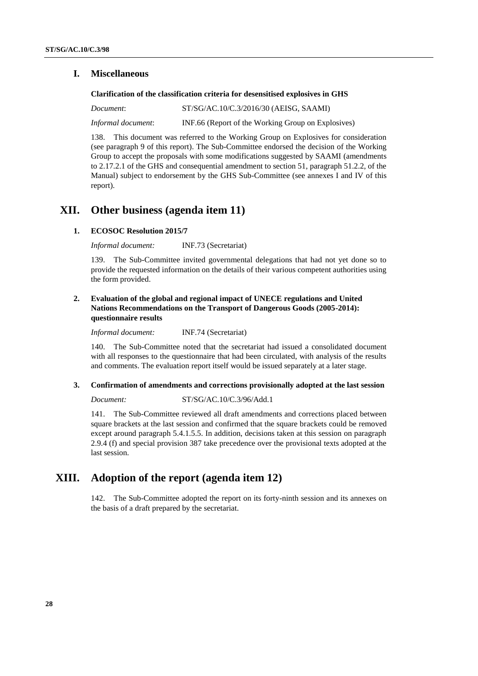### **I. Miscellaneous**

#### **Clarification of the classification criteria for desensitised explosives in GHS**

*Document*: ST/SG/AC.10/C.3/2016/30 (AEISG, SAAMI) *Informal document*: INF.66 (Report of the Working Group on Explosives)

138. This document was referred to the Working Group on Explosives for consideration (see paragraph 9 of this report). The Sub-Committee endorsed the decision of the Working Group to accept the proposals with some modifications suggested by SAAMI (amendments to 2.17.2.1 of the GHS and consequential amendment to section 51, paragraph 51.2.2, of the Manual) subject to endorsement by the GHS Sub-Committee (see annexes I and IV of this report).

# **XII. Other business (agenda item 11)**

#### **1. ECOSOC Resolution 2015/7**

*Informal document:* INF.73 (Secretariat)

139. The Sub-Committee invited governmental delegations that had not yet done so to provide the requested information on the details of their various competent authorities using the form provided.

### **2. Evaluation of the global and regional impact of UNECE regulations and United Nations Recommendations on the Transport of Dangerous Goods (2005-2014): questionnaire results**

*Informal document:* INF.74 (Secretariat)

140. The Sub-Committee noted that the secretariat had issued a consolidated document with all responses to the questionnaire that had been circulated, with analysis of the results and comments. The evaluation report itself would be issued separately at a later stage.

#### **3. Confirmation of amendments and corrections provisionally adopted at the last session**

#### *Document:* ST/SG/AC.10/C.3/96/Add.1

141. The Sub-Committee reviewed all draft amendments and corrections placed between square brackets at the last session and confirmed that the square brackets could be removed except around paragraph 5.4.1.5.5. In addition, decisions taken at this session on paragraph 2.9.4 (f) and special provision 387 take precedence over the provisional texts adopted at the last session.

## **XIII. Adoption of the report (agenda item 12)**

142. The Sub-Committee adopted the report on its forty-ninth session and its annexes on the basis of a draft prepared by the secretariat.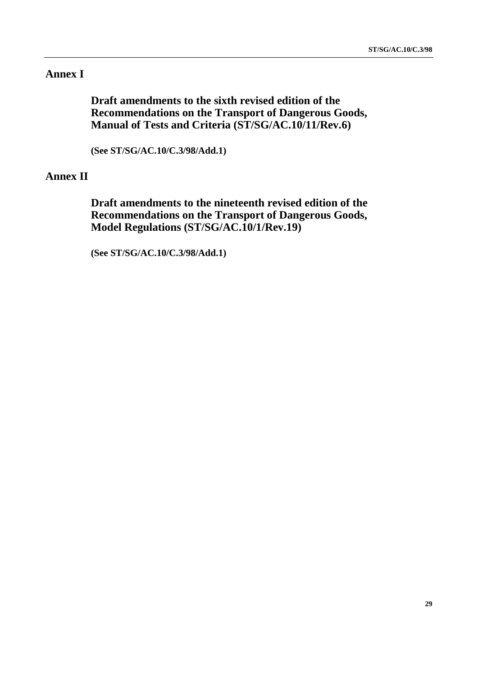# **Annex I**

**Draft amendments to the sixth revised edition of the Recommendations on the Transport of Dangerous Goods, Manual of Tests and Criteria (ST/SG/AC.10/11/Rev.6)**

**(See ST/SG/AC.10/C.3/98/Add.1)**

# **Annex II**

**Draft amendments to the nineteenth revised edition of the Recommendations on the Transport of Dangerous Goods, Model Regulations (ST/SG/AC.10/1/Rev.19)**

**(See ST/SG/AC.10/C.3/98/Add.1)**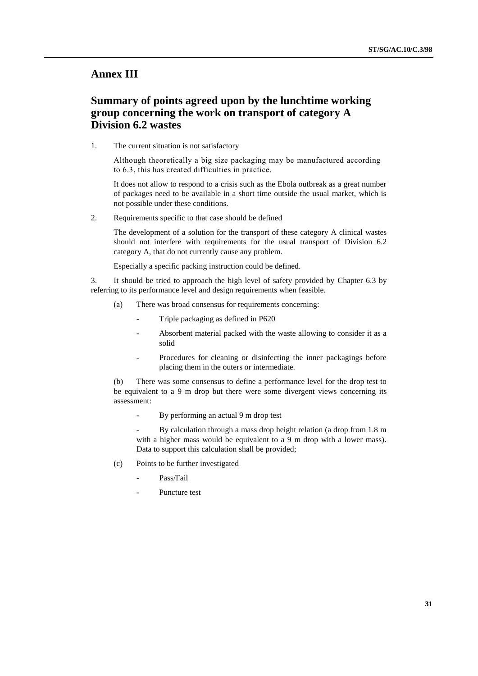### **Annex III**

# **Summary of points agreed upon by the lunchtime working group concerning the work on transport of category A Division 6.2 wastes**

1. The current situation is not satisfactory

Although theoretically a big size packaging may be manufactured according to 6.3, this has created difficulties in practice.

It does not allow to respond to a crisis such as the Ebola outbreak as a great number of packages need to be available in a short time outside the usual market, which is not possible under these conditions.

2. Requirements specific to that case should be defined

The development of a solution for the transport of these category A clinical wastes should not interfere with requirements for the usual transport of Division 6.2 category A, that do not currently cause any problem.

Especially a specific packing instruction could be defined.

3. It should be tried to approach the high level of safety provided by Chapter 6.3 by referring to its performance level and design requirements when feasible.

- (a) There was broad consensus for requirements concerning:
	- Triple packaging as defined in P620
	- Absorbent material packed with the waste allowing to consider it as a solid
	- Procedures for cleaning or disinfecting the inner packagings before placing them in the outers or intermediate.

(b) There was some consensus to define a performance level for the drop test to be equivalent to a 9 m drop but there were some divergent views concerning its assessment:

By performing an actual 9 m drop test

By calculation through a mass drop height relation (a drop from 1.8 m with a higher mass would be equivalent to a 9 m drop with a lower mass). Data to support this calculation shall be provided;

- (c) Points to be further investigated
	- Pass/Fail
	- Puncture test